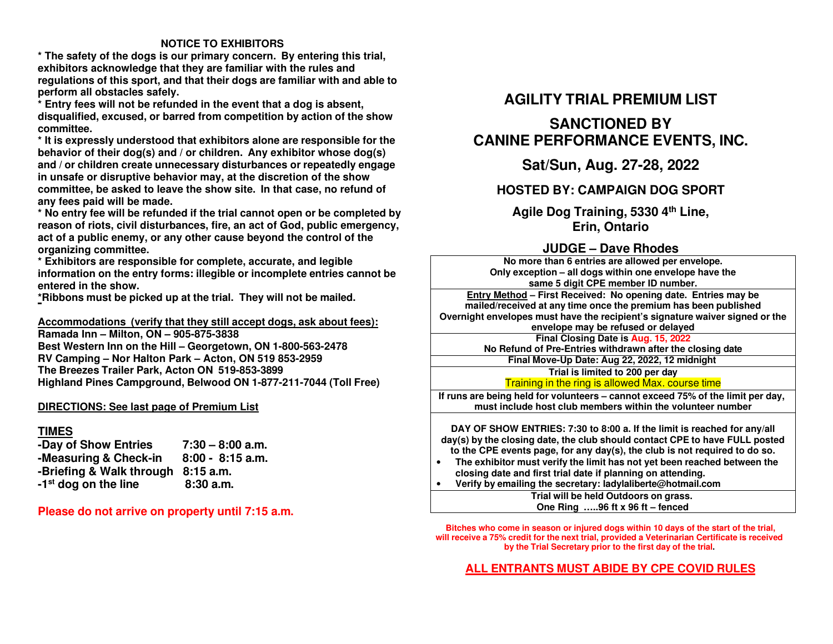#### **NOTICE TO EXHIBITORS**

 **\* The safety of the dogs is our primary concern. By entering this trial, exhibitors acknowledge that they are familiar with the rules and regulations of this sport, and that their dogs are familiar with and able to perform all obstacles safely.** 

 **\* Entry fees will not be refunded in the event that a dog is absent, disqualified, excused, or barred from competition by action of the show committee.** 

 **\* It is expressly understood that exhibitors alone are responsible for the behavior of their dog(s) and / or children. Any exhibitor whose dog(s) and / or children create unnecessary disturbances or repeatedly engage in unsafe or disruptive behavior may, at the discretion of the show committee, be asked to leave the show site. In that case, no refund of any fees paid will be made.** 

 **\* No entry fee will be refunded if the trial cannot open or be completed by reason of riots, civil disturbances, fire, an act of God, public emergency, act of a public enemy, or any other cause beyond the control of the organizing committee.** 

 **\* Exhibitors are responsible for complete, accurate, and legible information on the entry forms: illegible or incomplete entries cannot be entered in the show.** 

**\*Ribbons must be picked up at the trial. They will not be mailed.** 

**Accommodations (verify that they still accept dogs, ask about fees): Ramada Inn – Milton, ON – 905-875-3838** 

 **Best Western Inn on the Hill – Georgetown, ON 1-800-563-2478 RV Camping – Nor Halton Park – Acton, ON 519 853-2959 The Breezes Trailer Park, Acton ON 519-853-3899 Highland Pines Campground, Belwood ON 1-877-211-7044 (Toll Free)** 

#### **DIRECTIONS: See last page of Premium List**

#### **TIMES**

 **-Day of Show Entries 7:30 – 8:00 a.m.**  $8:00 - 8:15$  a.m. **-Measuring & Check-in -Briefing & Walk through 8:15 a.m.**  $8:30a.m.$ **-1<sup>st</sup>** dog on the line

**Please do not arrive on property until 7:15 a.m.**

# **AGILITY TRIAL PREMIUM LIST**

# **SANCTIONED BY CANINE PERFORMANCE EVENTS, INC.**

**Sat/Sun, Aug. 27-28, 2022** 

# **HOSTED BY: CAMPAIGN DOG SPORT**

**Agile Dog Training, 5330 4th Line, Erin, Ontario** 

# **JUDGE – Dave Rhodes**

 **No more than <sup>6</sup> entries are allowed per envelope. Only exception – all dogs within one envelope have the same 5 digit CPE member ID number. Entry Method – First Received: No opening date. Entries may be mailed/received at any time once the premium has been published Overnight envelopes must have the recipient's signature waiver signed or the envelope may be refused or delayed**

 **Final Closing Date is Aug. 15, <sup>2022</sup> No Refund of Pre-Entries withdrawn after the closing date** 

> **Final Move-Up Date: Aug 22, 2022, <sup>12</sup> midnight Trial is limited to 200 per day** Training in the ring is allowed Max. course time

 **If runs are being held for volunteers – cannot exceed 75% of the limit per day, must include host club members within the volunteer number**

**DAY OF SHOW ENTRIES: 7:30 to 8:00 a. If the limit is reached for any/all day(s) by the closing date, the club should contact CPE to have FULL posted to the CPE events page, for any day(s), the club is not required to do so. The exhibitor must verify the limit has not yet been reached between the**  •**closing date and first trial date if planning on attending.** 

 **Verify by emailing the secretary: ladylaliberte@hotmail.com**  •

**Trial will be held Outdoors on grass. One Ring …..96 ft x 96 ft – fenced**

**Bitches who come in season or injured dogs within 10 days of the start of the trial, will receive a 75% credit for the next trial, provided a Veterinarian Certificate is receivedby the Trial Secretary prior to the first day of the trial.** 

# **ALL ENTRANTS MUST ABIDE BY CPE COVID RULES**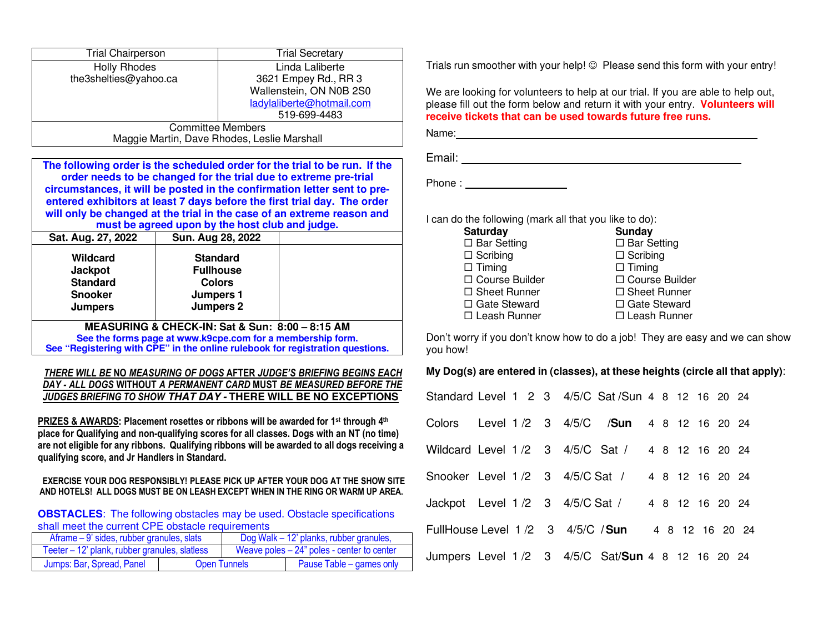| <b>Trial Chairperson</b>                    | <b>Trial Secretary</b>    |
|---------------------------------------------|---------------------------|
| <b>Holly Rhodes</b>                         | Linda Laliberte           |
| the3shelties@yahoo.ca                       | 3621 Empey Rd., RR 3      |
|                                             | Wallenstein, ON N0B 2S0   |
|                                             | ladylaliberte@hotmail.com |
|                                             | 519-699-4483              |
|                                             | <b>Committee Members</b>  |
| Maggie Martin, Dave Rhodes, Leslie Marshall |                           |

**The following order is the scheduled order for the trial to be run. If the order needs to be changed for the trial due to extreme pre-trial circumstances, it will be posted in the confirmation letter sent to preentered exhibitors at least 7 days before the first trial day. The order will only be changed at the trial in the case of an extreme reason andmust be agreed upon by the host club and judge.**

| Sat. Aug. 27, 2022                                                                | Sun. Aug 28, 2022                                                                                            |  |
|-----------------------------------------------------------------------------------|--------------------------------------------------------------------------------------------------------------|--|
| Wildcard<br><b>Jackpot</b><br><b>Standard</b><br><b>Snooker</b><br><b>Jumpers</b> | <b>Standard</b><br><b>Fullhouse</b><br><b>Colors</b><br>Jumpers 1<br>Jumpers 2                               |  |
|                                                                                   | MEASURING & CHECK-IN: Sat & Sun: 8:00 - 8:15 AM<br>See the forms page at www k9cpe com for a membership form |  |

**See the forms page at www.k9cpe.com for a membership form. See "Registering with CPE" in the online rulebook for registration questions.**

*THERE WILL BE* **NO** *MEASURING OF DOGS* **AFTER** *JUDGE'S BRIEFING BEGINS EACH DAY - ALL DOGS* **WITHOUT** *A PERMANENT CARD* **MUST** *BE MEASURED BEFORE THE JUDGES BRIEFING TO SHOW* **THAT DAY - THERE WILL BE NO EXCEPTIONS** 

**PRIZES & AWARDS: Placement rosettes or ribbons will be awarded for 1st through 4th place for Qualifying and non-qualifying scores for all classes. Dogs with an NT (no time) are not eligible for any ribbons. Qualifying ribbons will be awarded to all dogs receiving a qualifying score, and Jr Handlers in Standard.** 

**EXERCISE YOUR DOG RESPONSIBLY! PLEASE PICK UP AFTER YOUR DOG AT THE SHOW SITE AND HOTELS! ALL DOGS MUST BE ON LEASH EXCEPT WHEN IN THE RING OR WARM UP AREA.** 

**OBSTACLES:** The following obstacles may be used. Obstacle specifications shall meet the current CPE obstacle requirements

| Aframe – 9' sides, rubber granules, slats     |                     | Dog Walk – 12' planks, rubber granules,      |
|-----------------------------------------------|---------------------|----------------------------------------------|
| Teeter – 12' plank, rubber granules, slatless |                     | Weave poles $-24$ " poles - center to center |
| Jumps: Bar, Spread, Panel                     | <b>Open Tunnels</b> | Pause Table – games only                     |

Trials run smoother with your help!  $\circledcirc$  Please send this form with your entry!

We are looking for volunteers to help at our trial. If you are able to help out, please fill out the form below and return it with your entry. **Volunteers will receive tickets that can be used towards future free runs.**

Name:

Email:

Phone : and the state of the state of the state of the state of the state of the state of the state of the state of the state of the state of the state of the state of the state of the state of the state of the state of th

I can do the following (mark all that you like to do):

| <b>Saturday</b>     | Sunday              |
|---------------------|---------------------|
| $\Box$ Bar Setting  | $\Box$ Bar Setting  |
| $\Box$ Scribing     | $\Box$ Scribing     |
| $\Box$ Timing       | $\Box$ Timing       |
| □ Course Builder    | □ Course Builder    |
| $\Box$ Sheet Runner | $\Box$ Sheet Runner |
| $\Box$ Gate Steward | □ Gate Steward      |
| □ Leash Runner      | $\Box$ Leash Runner |
|                     |                     |

Don't worry if you don't know how to do a job! They are easy and we can show you how!

#### **My Dog(s) are entered in (classes), at these heights (circle all that apply)**:

| Standard Level 1 2 3 4/5/C Sat /Sun 4 8 12 16 20 24 |  |  |                                                   |  |                 |  |                 |
|-----------------------------------------------------|--|--|---------------------------------------------------|--|-----------------|--|-----------------|
|                                                     |  |  | Colors Level 1 /2 3 4/5/C /Sun 4 8 12 16 20 24    |  |                 |  |                 |
| Wildcard Level 1/2 3 4/5/C Sat / 4 8 12 16 20 24    |  |  |                                                   |  |                 |  |                 |
| Snooker Level 1/2 3 4/5/C Sat /                     |  |  |                                                   |  | 4 8 12 16 20 24 |  |                 |
| Jackpot Level 1/2 3 4/5/C Sat /                     |  |  |                                                   |  | 4 8 12 16 20 24 |  |                 |
| FullHouse Level 1/2 3 4/5/C / Sun                   |  |  |                                                   |  |                 |  | 4 8 12 16 20 24 |
|                                                     |  |  | Jumpers Level 1/2 3 4/5/C Sat/Sun 4 8 12 16 20 24 |  |                 |  |                 |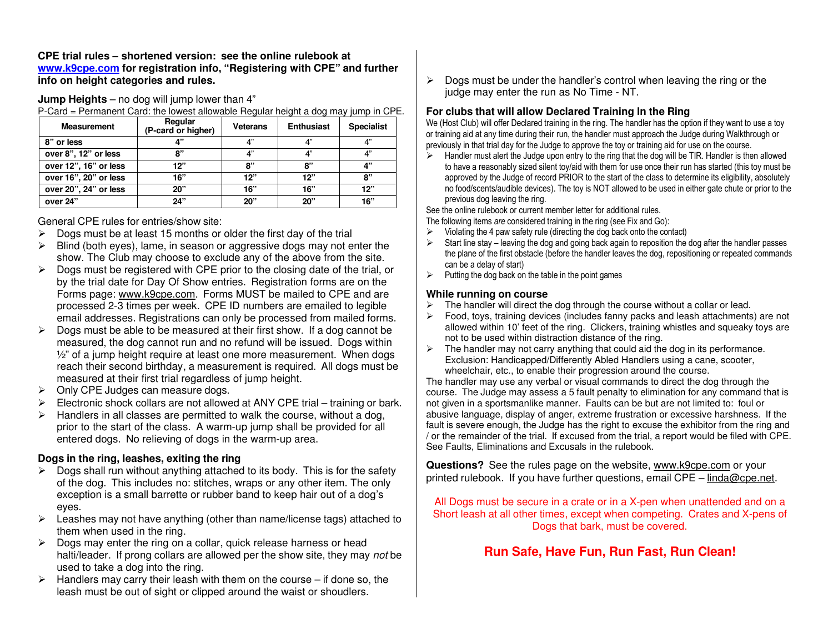**CPE trial rules – shortened version: see the online rulebook at www.k9cpe.com for registration info, "Registering with CPE" and further info on height categories and rules.** 

**Jump Heights** – no dog will jump lower than 4"

P-Card = Permanent Card: the lowest allowable Regular height a dog may jump in CPE.

| <b>Measurement</b>    | Regular<br>(P-card or higher) | Veterans | <b>Enthusiast</b> | <b>Specialist</b> |
|-----------------------|-------------------------------|----------|-------------------|-------------------|
| 8" or less            | л"                            | 4"       | 4"                | 4"                |
| over 8", 12" or less  | יי א                          | 4"       | 4"                | 4"                |
| over 12", 16" or less | 12"                           | 8"       | 8"                | 4"                |
| over 16", 20" or less | 16"                           | 12"      | 12"               | 8"                |
| over 20", 24" or less | 20"                           | 16"      | 16"               | 12"               |
| over 24"              | 24"                           | 20"      | 20"               | 16"               |

General CPE rules for entries/show site:

- $\triangleright$  Dogs must be at least 15 months or older the first day of the trial<br> $\triangleright$  Plind (both over) lame in access or aggressive dega moviest ➤
- $\blacktriangleright$  Blind (both eyes), lame, in season or aggressive dogs may not enter the show. The Club may choose to exclude any of the above from the site.
- $\triangleright$  Dogs must be registered with CPE prior to the closing date of the trial, or<br>by the trial date for Day Of Show entries. Beginterian forms are an the by the trial date for Day Of Show entries. Registration forms are on the Forms page: www.k9cpe.com. Forms MUST be mailed to CPE and are processed 2-3 times per week. CPE ID numbers are emailed to legible email addresses. Registrations can only be processed from mailed forms.
- $\geq$  Dogs must be able to be measured at their first show. If a dog cannot be measured the dog cannot run and no refund will be journed. Dogs within  $\blacktriangleright$ measured, the dog cannot run and no refund will be issued. Dogs within ½" of a jump height require at least one more measurement. When dogs reach their second birthday, a measurement is required. All dogs must be measured at their first trial regardless of jump height.
- $\blacktriangleright$ Only CPE Judges can measure dogs.
- $\blacktriangleright$ Electronic shock collars are not allowed at ANY CPE trial – training or bark.
- $\triangleright$  Handlers in all classes are permitted to walk the course, without a dog,<br>nation to the otest of the class. A weap up jump aboll be provided for all prior to the start of the class. A warm-up jump shall be provided for all entered dogs. No relieving of dogs in the warm-up area.

### **Dogs in the ring, leashes, exiting the ring**

- $\triangleright$  Dogs shall run without anything attached to its body. This is for the safety<br>of the day. This includes not stitutes, were assembled it was The sph. of the dog. This includes no: stitches, wraps or any other item. The only exception is a small barrette or rubber band to keep hair out of a dog's eyes.
- $\triangleright$  Leashes may not have anything (other than name/license tags) attached to them when used in the ring them when used in the ring.
- $\triangleright$  Dogs may enter the ring on a collar, quick release harness or head<br>heltilooder. If prepa collars are allowed per the show site, they may halti/leader. If prong collars are allowed per the show site, they may not be used to take a dog into the ring.
- $\triangleright$  Handlers may carry their leash with them on the course if done so, the loop must be out of ejeptional spanned the weight or epoughspanned leash must be out of sight or clipped around the waist or shoudlers.

 $\triangleright$  Dogs must be under the handler's control when leaving the ring or the line may onter the run as Na Time. NT judge may enter the run as No Time - NT.

### **For clubs that will allow Declared Training In the Ring**

 We (Host Club) will offer Declared training in the ring. The handler has the option if they want to use a toy or training aid at any time during their run, the handler must approach the Judge during Walkthrough or previously in that trial day for the Judge to approve the toy or training aid for use on the course.

 $\triangleright$  Handler must alert the Judge upon entry to the ring that the dog will be TIR. Handler is then allowed to boy a receptible circle significant to your to boy a receptible circle is then for use appear for the form fo ⋗ to have a reasonably sized silent toy/aid with them for use once their run has started (this toy must be approved by the Judge of record PRIOR to the start of the class to determine its eligibility, absolutely no food/scents/audible devices). The toy is NOT allowed to be used in either gate chute or prior to the previous dog leaving the ring.

See the online rulebook or current member letter for additional rules.

The following items *are* considered training in the ring (see Fix and Go):

- $\triangleright$  Violating the 4 paw safety rule (directing the dog back onto the contact) ➤
- $\blacktriangleright$  Start line stay – leaving the dog and going back again to reposition the dog after the handler passes the plane of the first obstacle (before the handler leaves the dog, repositioning or repeated commandscan be a delay of start)
- $\triangleright$  Putting the dog back on the table in the point games

#### **While running on course**

- $\triangleright$  The handler will direct the dog through the course without a collar or lead.  $\triangleright$
- ⋗ Food, toys, training devices (includes fanny packs and leash attachments) are not allowed within 10' feet of the ring. Clickers, training whistles and squeaky toys are not to be used within distraction distance of the ring.
- $\triangleright$  The handler may not carry anything that could aid the dog in its performance.<br>Exclusion: Handisepped/Differently Abled Handlers using a seppe acceter.  $\triangleright$ Exclusion: Handicapped/Differently Abled Handlers using a cane, scooter, wheelchair, etc., to enable their progression around the course.

 The handler may use any verbal or visual commands to direct the dog through the course. The Judge may assess a 5 fault penalty to elimination for any command that is not given in a sportsmanlike manner. Faults can be but are not limited to: foul or abusive language, display of anger, extreme frustration or excessive harshness. If the fault is severe enough, the Judge has the right to excuse the exhibitor from the ring and / or the remainder of the trial. If excused from the trial, a report would be filed with CPE. See Faults, Eliminations and Excusals in the rulebook.

**Questions?** See the rules page on the website, www.k9cpe.com or your printed rulebook. If you have further questions, email CPE - linda@cpe.net.

All Dogs must be secure in a crate or in a X-pen when unattended and on a Short leash at all other times, except when competing. Crates and X-pens of Dogs that bark, must be covered.

# **Run Safe, Have Fun, Run Fast, Run Clean!**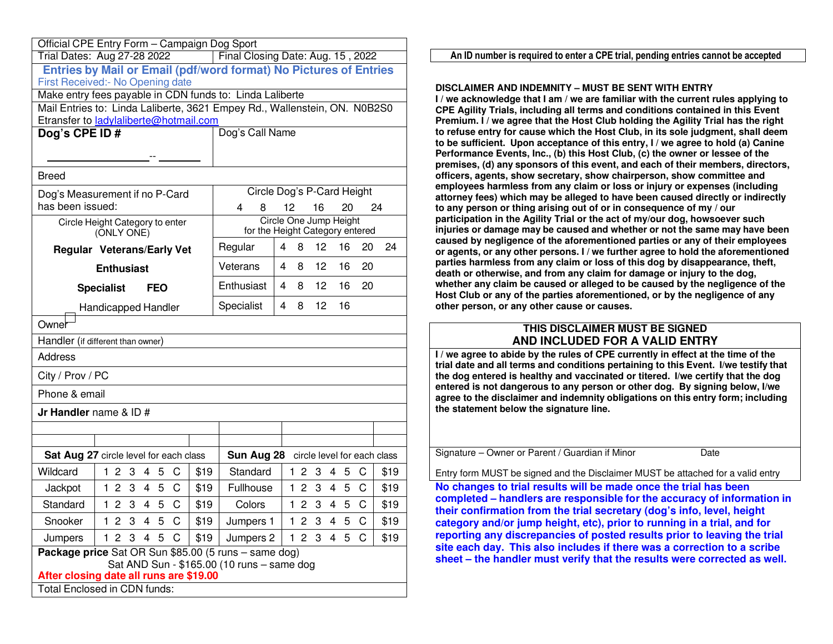|                  | Official CPE Entry Form - Campaign Dog Sport                                                 |      |                 |                                                                           |  |
|------------------|----------------------------------------------------------------------------------------------|------|-----------------|---------------------------------------------------------------------------|--|
|                  | Trial Dates: Aug 27-28 2022                                                                  |      |                 | Final Closing Date: Aug. 15, 2022                                         |  |
|                  |                                                                                              |      |                 | Entries by Mail or Email (pdf/word format) No Pictures of Entries         |  |
|                  | First Received:- No Opening date<br>Make entry fees payable in CDN funds to: Linda Laliberte |      |                 |                                                                           |  |
|                  |                                                                                              |      |                 | Mail Entries to: Linda Laliberte, 3621 Empey Rd., Wallenstein, ON. N0B2S0 |  |
|                  | Etransfer to ladylaliberte@hotmail.com                                                       |      |                 |                                                                           |  |
| Dog's CPE ID#    |                                                                                              |      | Dog's Call Name |                                                                           |  |
|                  |                                                                                              |      |                 |                                                                           |  |
|                  |                                                                                              |      |                 |                                                                           |  |
| <b>Breed</b>     |                                                                                              |      |                 |                                                                           |  |
|                  | Dog's Measurement if no P-Card                                                               |      |                 | Circle Dog's P-Card Height                                                |  |
| has been issued: |                                                                                              |      | 4<br>8          | 12<br>16<br>24<br>20                                                      |  |
|                  | Circle Height Category to enter<br>(ONLY ONE)                                                |      |                 | Circle One Jump Height<br>for the Height Category entered                 |  |
|                  | <b>Regular Veterans/Early Vet</b>                                                            |      | Regular         | 4<br>12<br>16<br>24<br>8<br>20                                            |  |
|                  | <b>Enthusiast</b>                                                                            |      | Veterans        | 12<br>4<br>8<br>16<br>20                                                  |  |
|                  | <b>Specialist</b><br><b>FEO</b>                                                              |      | Enthusiast      | 8<br>12<br>16<br>20<br>4                                                  |  |
|                  | Handicapped Handler                                                                          |      | Specialist      | 12<br>16<br>4<br>8                                                        |  |
| Owner            |                                                                                              |      |                 |                                                                           |  |
|                  | Handler (if different than owner)                                                            |      |                 |                                                                           |  |
| <b>Address</b>   |                                                                                              |      |                 |                                                                           |  |
| City / Prov / PC |                                                                                              |      |                 |                                                                           |  |
| Phone & email    |                                                                                              |      |                 |                                                                           |  |
|                  | Jr Handler name & ID #                                                                       |      |                 |                                                                           |  |
|                  |                                                                                              |      |                 |                                                                           |  |
|                  |                                                                                              |      |                 |                                                                           |  |
|                  | <b>Sat Aug 27</b> circle level for each class                                                |      |                 | Sun Aug 28 circle level for each class                                    |  |
| Wildcard         | 123<br>C<br>4<br>5                                                                           | \$19 | Standard        | 1 <sub>2</sub><br>C<br>\$19<br>3<br>4<br>-5                               |  |
| Jackpot          | 1234<br>5<br>C                                                                               | \$19 | Fullhouse       | 1 <sub>2</sub><br>- 3<br>$\overline{4}$<br>5<br>C<br>\$19                 |  |
| Standard         | C<br>3<br>5<br>1<br>$\mathbf{2}$<br>4                                                        | \$19 | Colors          | 3<br>5<br>C<br>$1\,2$<br>\$19<br>4                                        |  |
| Snooker          | 123<br>5<br>C<br>4                                                                           | \$19 | Jumpers 1       | 12<br>3<br>C<br>\$19<br>4<br>5                                            |  |
| Jumpers          | 12<br>3<br>4<br>5<br>C                                                                       | \$19 | Jumpers 2       | C<br>$1\,2$<br>3<br>4<br>\$19<br>5                                        |  |
|                  | Package price Sat OR Sun \$85.00 (5 runs - same dog)                                         |      |                 |                                                                           |  |
|                  | Sat AND Sun - \$165.00 (10 runs - same dog<br>After closing date all runs are \$19.00        |      |                 |                                                                           |  |
|                  | Total Enclosed in CDN funds:                                                                 |      |                 |                                                                           |  |

**An ID number is required to enter <sup>a</sup> CPE trial, pending entries cannot be accepted**

#### **DISCLAIMER AND INDEMNITY – MUST BE SENT WITH ENTRY**

 **I / we acknowledge that I am / we are familiar with the current rules applying to CPE Agility Trials, including all terms and conditions contained in this Event Premium. I / we agree that the Host Club holding the Agility Trial has the right to refuse entry for cause which the Host Club, in its sole judgment, shall deem to be sufficient. Upon acceptance of this entry, I / we agree to hold (a) Canine Performance Events, Inc., (b) this Host Club, (c) the owner or lessee of the premises, (d) any sponsors of this event, and each of their members, directors, officers, agents, show secretary, show chairperson, show committee and employees harmless from any claim or loss or injury or expenses (including attorney fees) which may be alleged to have been caused directly or indirectly to any person or thing arising out of or in consequence of my / our participation in the Agility Trial or the act of my/our dog, howsoever such injuries or damage may be caused and whether or not the same may have been caused by negligence of the aforementioned parties or any of their employees or agents, or any other persons. I / we further agree to hold the aforementioned parties harmless from any claim or loss of this dog by disappearance, theft, death or otherwise, and from any claim for damage or injury to the dog, whether any claim be caused or alleged to be caused by the negligence of the Host Club or any of the parties aforementioned, or by the negligence of any other person, or any other cause or causes.** 

#### **THIS DISCLAIMER MUST BE SIGNED AND INCLUDED FOR A VALID ENTRY**

**I / we agree to abide by the rules of CPE currently in effect at the time of the trial date and all terms and conditions pertaining to this Event. I/we testify that the dog entered is healthy and vaccinated or titered. I/we certify that the dog entered is not dangerous to any person or other dog. By signing below, I/we agree to the disclaimer and indemnity obligations on this entry form; including the statement below the signature line.** 

| Signature – Owner or Parent / Guardian if Minor<br>Date |
|---------------------------------------------------------|
|---------------------------------------------------------|

Entry form MUST be signed and the Disclaimer MUST be attached for a valid entry

**No changes to trial results will be made once the trial has been completed – handlers are responsible for the accuracy of information in their confirmation from the trial secretary (dog's info, level, height category and/or jump height, etc), prior to running in a trial, and for reporting any discrepancies of posted results prior to leaving the trial site each day. This also includes if there was a correction to a scribe sheet – the handler must verify that the results were corrected as well.**